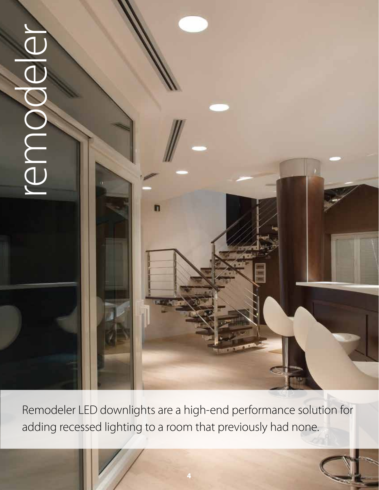

Remodeler LED downlights are a high-end performance solution for adding recessed lighting to a room that previously had none.

**4**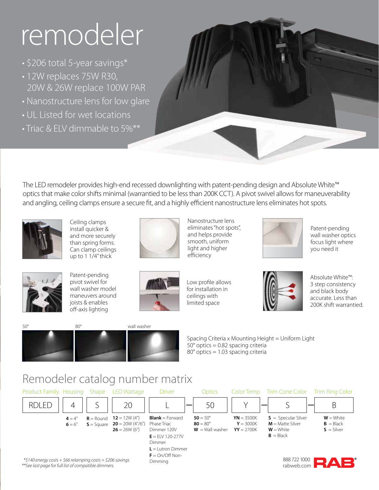# remodeler

- \$206 total 5-year savings\*
- 12W replaces 75W R30, 20W & 26W replace 100W PAR
- Nanostructure lens for low glare
- UL Listed for wet locations
- Triac & ELV dimmable to 5%\*\*



The LED remodeler provides high-end recessed downlighting with patent-pending design and Absolute White™ optics that make color shifts minimal (warrantied to be less than 200K CCT). A pivot swivel allows for maneuverability and angling, ceiling clamps ensure a secure fit, and a highly efficient nanostructure lens eliminates hot spots.



Ceiling clamps install quicker & and more securely than spring forms. Can clamp ceilings up to 1 1/4" thick



Nanostructure lens eliminates "hot spots", and helps provide smooth, uniform light and higher efficiency



Patent-pending wall washer optics focus light where you need it



Patent-pending pivot swivel for wall washer model maneuvers around joists & enables off-axis lighting



Low profile allows for installation in ceilings with limited space



Absolute White™: 3 step consistency and black body accurate. Less than 200K shift warrantied.



Spacing Criteria x Mounting Height = Uniform Light 50° optics = 0.82 spacing criteria 80° optics = 1.03 spacing criteria

### Remodeler catalog number matrix

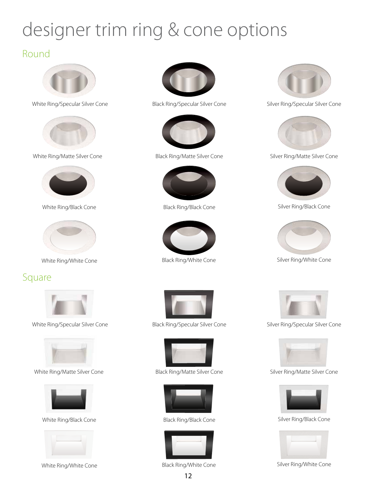### designer trim ring & cone options

#### Round



White Ring/Specular Silver Cone



White Ring/Matte Silver Cone



White Ring/Black Cone



White Ring/White Cone

#### Square



White Ring/Specular Silver Cone



White Ring/Matte Silver Cone



White Ring/Black Cone



White Ring/White Cone



Black Ring/Specular Silver Cone



Black Ring/Matte Silver Cone



Black Ring/Black Cone



Black Ring/White Cone



Black Ring/Specular Silver Cone



Black Ring/Matte Silver Cone



Black Ring/Black Cone



Black Ring/White Cone



Silver Ring/Specular Silver Cone



Silver Ring/Matte Silver Cone



Silver Ring/Black Cone



Silver Ring/White Cone



Silver Ring/Specular Silver Cone



Silver Ring/Matte Silver Cone



Silver Ring/Black Cone



Silver Ring/White Cone